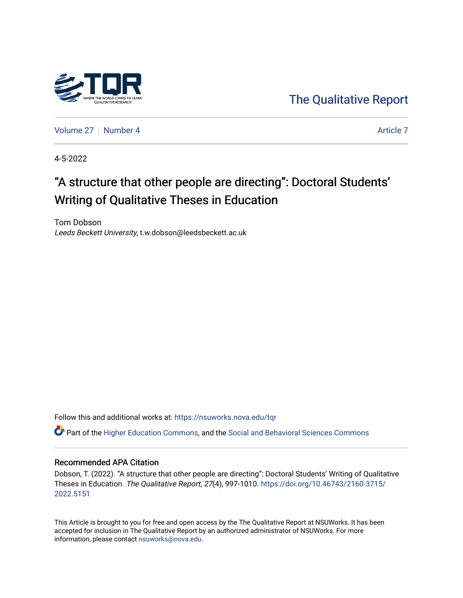

[The Qualitative Report](https://nsuworks.nova.edu/tqr) 

[Volume 27](https://nsuworks.nova.edu/tqr/vol27) | [Number 4](https://nsuworks.nova.edu/tqr/vol27/iss4) Article 7

4-5-2022

# "A structure that other people are directing": Doctoral Students' Writing of Qualitative Theses in Education

Tom Dobson Leeds Beckett University, t.w.dobson@leedsbeckett.ac.uk

Follow this and additional works at: [https://nsuworks.nova.edu/tqr](https://nsuworks.nova.edu/tqr?utm_source=nsuworks.nova.edu%2Ftqr%2Fvol27%2Fiss4%2F7&utm_medium=PDF&utm_campaign=PDFCoverPages) 

Part of the [Higher Education Commons,](http://network.bepress.com/hgg/discipline/1245?utm_source=nsuworks.nova.edu%2Ftqr%2Fvol27%2Fiss4%2F7&utm_medium=PDF&utm_campaign=PDFCoverPages) and the [Social and Behavioral Sciences Commons](http://network.bepress.com/hgg/discipline/316?utm_source=nsuworks.nova.edu%2Ftqr%2Fvol27%2Fiss4%2F7&utm_medium=PDF&utm_campaign=PDFCoverPages)

#### Recommended APA Citation

Dobson, T. (2022). "A structure that other people are directing": Doctoral Students' Writing of Qualitative Theses in Education. The Qualitative Report, 27(4), 997-1010. [https://doi.org/10.46743/2160-3715/](https://doi.org/10.46743/2160-3715/2022.5151) [2022.5151](https://doi.org/10.46743/2160-3715/2022.5151) 

This Article is brought to you for free and open access by the The Qualitative Report at NSUWorks. It has been accepted for inclusion in The Qualitative Report by an authorized administrator of NSUWorks. For more information, please contact [nsuworks@nova.edu.](mailto:nsuworks@nova.edu)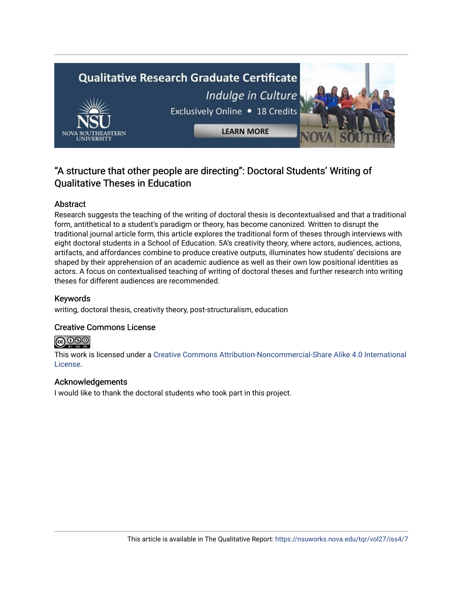

## "A structure that other people are directing": Doctoral Students' Writing of Qualitative Theses in Education

### Abstract

Research suggests the teaching of the writing of doctoral thesis is decontextualised and that a traditional form, antithetical to a student's paradigm or theory, has become canonized. Written to disrupt the traditional journal article form, this article explores the traditional form of theses through interviews with eight doctoral students in a School of Education. 5A's creativity theory, where actors, audiences, actions, artifacts, and affordances combine to produce creative outputs, illuminates how students' decisions are shaped by their apprehension of an academic audience as well as their own low positional identities as actors. A focus on contextualised teaching of writing of doctoral theses and further research into writing theses for different audiences are recommended.

### Keywords

writing, doctoral thesis, creativity theory, post-structuralism, education

#### Creative Commons License

# **@@@**

This work is licensed under a [Creative Commons Attribution-Noncommercial-Share Alike 4.0 International](https://creativecommons.org/licenses/by-nc-sa/4.0/)  [License](https://creativecommons.org/licenses/by-nc-sa/4.0/).

#### Acknowledgements

I would like to thank the doctoral students who took part in this project.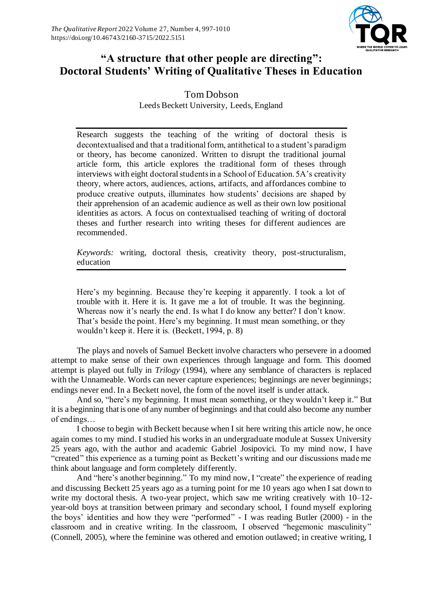

# **"A structure that other people are directing": Doctoral Students' Writing of Qualitative Theses in Education**

Tom Dobson Leeds Beckett University, Leeds, England

Research suggests the teaching of the writing of doctoral thesis is decontextualised and that a traditional form, antithetical to a student's paradigm or theory, has become canonized. Written to disrupt the traditional journal article form, this article explores the traditional form of theses through interviews with eight doctoral students in a School of Education. 5A's creativity theory, where actors, audiences, actions, artifacts, and affordances combine to produce creative outputs, illuminates how students' decisions are shaped by their apprehension of an academic audience as well as their own low positional identities as actors. A focus on contextualised teaching of writing of doctoral theses and further research into writing theses for different audiences are recommended.

*Keywords:* writing, doctoral thesis, creativity theory, post-structuralism, education

Here's my beginning. Because they're keeping it apparently. I took a lot of trouble with it. Here it is. It gave me a lot of trouble. It was the beginning. Whereas now it's nearly the end. Is what I do know any better? I don't know. That's beside the point. Here's my beginning. It must mean something, or they wouldn't keep it. Here it is. (Beckett, 1994, p. 8)

The plays and novels of Samuel Beckett involve characters who persevere in a doomed attempt to make sense of their own experiences through language and form. This doomed attempt is played out fully in *Trilogy* (1994), where any semblance of characters is replaced with the Unnameable. Words can never capture experiences; beginnings are never beginnings; endings never end. In a Beckett novel, the form of the novel itself is under attack.

And so, "here's my beginning. It must mean something, or they wouldn't keep it." But it is a beginning that is one of any number of beginnings and that could also become any number of endings…

I choose to begin with Beckett because when I sit here writing this article now, he once again comes to my mind. I studied his works in an undergraduate module at Sussex University 25 years ago, with the author and academic Gabriel Josipovici. To my mind now, I have "created" this experience as a turning point as Beckett's writing and our discussions made me think about language and form completely differently.

And "here's another beginning." To my mind now, I "create" the experience of reading and discussing Beckett 25 years ago as a turning point for me 10 years ago when I sat down to write my doctoral thesis. A two-year project, which saw me writing creatively with 10–12 year-old boys at transition between primary and secondary school, I found myself exploring the boys' identities and how they were "performed" - I was reading Butler (2000) - in the classroom and in creative writing. In the classroom, I observed "hegemonic masculinity" (Connell, 2005), where the feminine was othered and emotion outlawed; in creative writing, I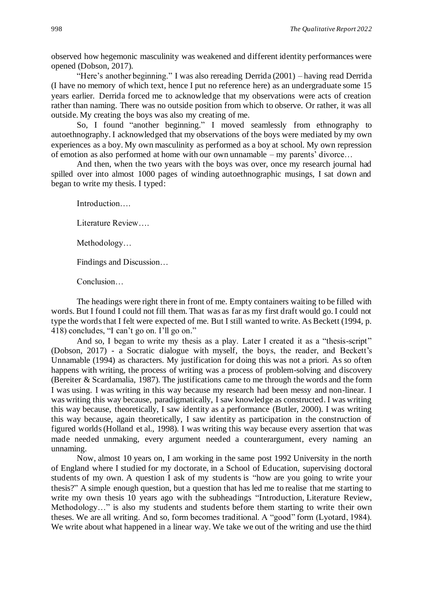observed how hegemonic masculinity was weakened and different identity performances were opened (Dobson, 2017).

"Here's another beginning." I was also rereading Derrida (2001) – having read Derrida (I have no memory of which text, hence I put no reference here) as an undergraduate some 15 years earlier. Derrida forced me to acknowledge that my observations were acts of creation rather than naming. There was no outside position from which to observe. Or rather, it was all outside. My creating the boys was also my creating of me.

So, I found "another beginning." I moved seamlessly from ethnography to autoethnography. I acknowledged that my observations of the boys were mediated by my own experiences as a boy. My own masculinity as performed as a boy at school. My own repression of emotion as also performed at home with our own unnamable – my parents' divorce…

And then, when the two years with the boys was over, once my research journal had spilled over into almost 1000 pages of winding autoethnographic musings, I sat down and began to write my thesis. I typed:

Introduction….

Literature Review….

Methodology…

Findings and Discussion…

Conclusion…

The headings were right there in front of me. Empty containers waiting to be filled with words. But I found I could not fill them. That was as far as my first draft would go. I could not type the words that I felt were expected of me. But I still wanted to write. As Beckett (1994, p. 418) concludes, "I can't go on. I'll go on."

And so, I began to write my thesis as a play. Later I created it as a "thesis-script" (Dobson, 2017) - a Socratic dialogue with myself, the boys, the reader, and Beckett's Unnamable (1994) as characters. My justification for doing this was not a priori. As so often happens with writing, the process of writing was a process of problem-solving and discovery (Bereiter & Scardamalia, 1987). The justifications came to me through the words and the form I was using. I was writing in this way because my research had been messy and non-linear. I was writing this way because, paradigmatically, I saw knowledge as constructed. I was writing this way because, theoretically, I saw identity as a performance (Butler, 2000). I was writing this way because, again theoretically, I saw identity as participation in the construction of figured worlds (Holland et al., 1998). I was writing this way because every assertion that was made needed unmaking, every argument needed a counterargument, every naming an unnaming.

Now, almost 10 years on, I am working in the same post 1992 University in the north of England where I studied for my doctorate, in a School of Education, supervising doctoral students of my own. A question I ask of my students is "how are you going to write your thesis?" A simple enough question, but a question that has led me to realise that me starting to write my own thesis 10 years ago with the subheadings "Introduction, Literature Review, Methodology…" is also my students and students before them starting to write their own theses. We are all writing. And so, form becomes traditional. A "good" form (Lyotard, 1984). We write about what happened in a linear way. We take we out of the writing and use the third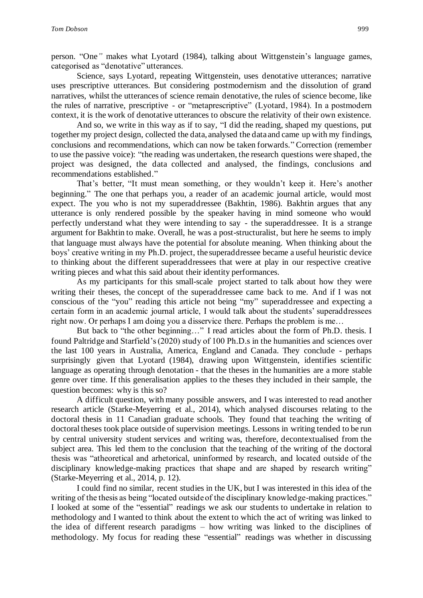person. "One*"* makes what Lyotard (1984), talking about Wittgenstein's language games, categorised as "denotative" utterances.

Science, says Lyotard, repeating Wittgenstein, uses denotative utterances; narrative uses prescriptive utterances. But considering postmodernism and the dissolution of grand narratives, whilst the utterances of science remain denotative, the rules of science become, like the rules of narrative, prescriptive - or "metaprescriptive" (Lyotard, 1984). In a postmodern context, it is the work of denotative utterances to obscure the relativity of their own existence.

And so, we write in this way as if to say, "I did the reading, shaped my questions, put together my project design, collected the data, analysed the data and came up with my findings, conclusions and recommendations, which can now be taken forwards." Correction (remember to use the passive voice): "the reading was undertaken, the research questions were shaped, the project was designed, the data collected and analysed, the findings, conclusions and recommendations established."

That's better, "It must mean something, or they wouldn't keep it. Here's another beginning." The one that perhaps you, a reader of an academic journal article, would most expect. The you who is not my superaddressee (Bakhtin, 1986). Bakhtin argues that any utterance is only rendered possible by the speaker having in mind someone who would perfectly understand what they were intending to say - the superaddressee. It is a strange argument for Bakhtin to make. Overall, he was a post-structuralist, but here he seems to imply that language must always have the potential for absolute meaning. When thinking about the boys' creative writing in my Ph.D. project, the superaddressee became a useful heuristic device to thinking about the different superaddressees that were at play in our respective creative writing pieces and what this said about their identity performances.

As my participants for this small-scale project started to talk about how they were writing their theses, the concept of the superaddressee came back to me. And if I was not conscious of the "you" reading this article not being "my" superaddressee and expecting a certain form in an academic journal article, I would talk about the students' superaddressees right now. Or perhaps I am doing you a disservice there. Perhaps the problem is me…

But back to "the other beginning…" I read articles about the form of Ph.D. thesis. I found Paltridge and Starfield's (2020) study of 100 Ph.D.s in the humanities and sciences over the last 100 years in Australia, America, England and Canada. They conclude - perhaps surprisingly given that Lyotard (1984), drawing upon Wittgenstein, identifies scientific language as operating through denotation - that the theses in the humanities are a more stable genre over time. If this generalisation applies to the theses they included in their sample, the question becomes: why is this so?

A difficult question, with many possible answers, and I was interested to read another research article (Starke-Meyerring et al., 2014), which analysed discourses relating to the doctoral thesis in 11 Canadian graduate schools. They found that teaching the writing of doctoral theses took place outside of supervision meetings. Lessons in writing tended to be run by central university student services and writing was, therefore, decontextualised from the subject area. This led them to the conclusion that the teaching of the writing of the doctoral thesis was "atheoretical and arhetorical, uninformed by research, and located outside of the disciplinary knowledge-making practices that shape and are shaped by research writing" (Starke-Meyerring et al., 2014, p. 12).

I could find no similar, recent studies in the UK, but I was interested in this idea of the writing of the thesis as being "located outside of the disciplinary knowledge-making practices." I looked at some of the "essential" readings we ask our students to undertake in relation to methodology and I wanted to think about the extent to which the act of writing was linked to the idea of different research paradigms – how writing was linked to the disciplines of methodology. My focus for reading these "essential" readings was whether in discussing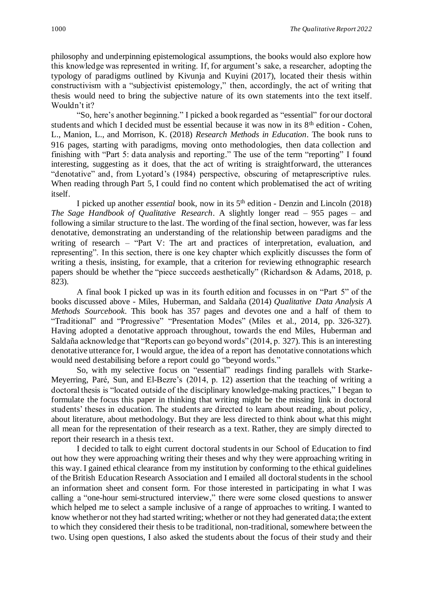philosophy and underpinning epistemological assumptions, the books would also explore how this knowledge was represented in writing. If, for argument's sake, a researcher, adopting the typology of paradigms outlined by Kivunja and Kuyini (2017), located their thesis within constructivism with a "subjectivist epistemology," then, accordingly, the act of writing that thesis would need to bring the subjective nature of its own statements into the text itself. Wouldn't it?

"So, here's another beginning." I picked a book regarded as "essential" for our doctoral students and which I decided must be essential because it was now in its  $8<sup>th</sup>$  edition - Cohen, L., Manion, L., and Morrison, K. (2018) *Research Methods in Education*. The book runs to 916 pages, starting with paradigms, moving onto methodologies, then data collection and finishing with "Part 5: data analysis and reporting." The use of the term "reporting" I found interesting, suggesting as it does, that the act of writing is straightforward, the utterances "denotative" and, from Lyotard's (1984) perspective, obscuring of metaprescriptive rules. When reading through Part 5, I could find no content which problematised the act of writing itself.

I picked up another *essential* book, now in its 5th edition - Denzin and Lincoln (2018) *The Sage Handbook of Qualitative Research*. A slightly longer read – 955 pages – and following a similar structure to the last. The wording of the final section, however, was far less denotative, demonstrating an understanding of the relationship between paradigms and the writing of research – "Part V: The art and practices of interpretation, evaluation, and representing". In this section, there is one key chapter which explicitly discusses the form of writing a thesis, insisting, for example, that a criterion for reviewing ethnographic research papers should be whether the "piece succeeds aesthetically" (Richardson & Adams, 2018, p. 823).

A final book I picked up was in its fourth edition and focusses in on "Part 5" of the books discussed above - Miles, Huberman, and Saldaña (2014) *Qualitative Data Analysis A Methods Sourcebook*. This book has 357 pages and devotes one and a half of them to "Traditional" and "Progressive" "Presentation Modes" (Miles et al., 2014, pp. 326-327). Having adopted a denotative approach throughout, towards the end Miles, Huberman and Saldaña acknowledge that "Reports can go beyond words" (2014, p. 327). This is an interesting denotative utterance for, I would argue, the idea of a report has denotative connotations which would need destabilising before a report could go "beyond words."

So, with my selective focus on "essential" readings finding parallels with Starke-Meyerring, Paré, Sun, and El-Bezre's (2014, p. 12) assertion that the teaching of writing a doctoral thesis is "located outside of the disciplinary knowledge-making practices," I began to formulate the focus this paper in thinking that writing might be the missing link in doctoral students' theses in education. The students are directed to learn about reading, about policy, about literature, about methodology. But they are less directed to think about what this might all mean for the representation of their research as a text. Rather, they are simply directed to report their research in a thesis text.

I decided to talk to eight current doctoral students in our School of Education to find out how they were approaching writing their theses and why they were approaching writing in this way. I gained ethical clearance from my institution by conforming to the ethical guidelines of the British Education Research Association and I emailed all doctoral students in the school an information sheet and consent form. For those interested in participating in what I was calling a "one-hour semi-structured interview," there were some closed questions to answer which helped me to select a sample inclusive of a range of approaches to writing. I wanted to know whether or not they had started writing; whether or not they had generated data; the extent to which they considered their thesis to be traditional, non-traditional, somewhere between the two. Using open questions, I also asked the students about the focus of their study and their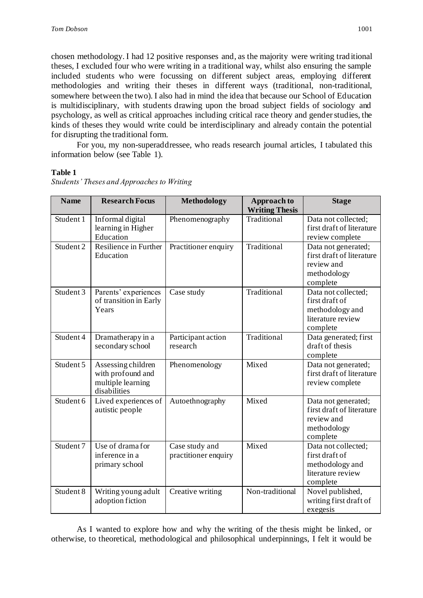chosen methodology. I had 12 positive responses and, as the majority were writing trad itional theses, I excluded four who were writing in a traditional way, whilst also ensuring the sample included students who were focussing on different subject areas, employing different methodologies and writing their theses in different ways (traditional, non-traditional, somewhere between the two). I also had in mind the idea that because our School of Education is multidisciplinary, with students drawing upon the broad subject fields of sociology and psychology, as well as critical approaches including critical race theory and gender studies, the kinds of theses they would write could be interdisciplinary and already contain the potential for disrupting the traditional form.

For you, my non-superaddressee, who reads research journal articles, I tabulated this information below (see Table 1).

#### **Table 1**

| <b>Name</b> | <b>Research Focus</b>                                                        | Methodology                            | <b>Approach to</b><br><b>Writing Thesis</b> | <b>Stage</b>                                                                              |
|-------------|------------------------------------------------------------------------------|----------------------------------------|---------------------------------------------|-------------------------------------------------------------------------------------------|
| Student 1   | Informal digital<br>learning in Higher<br>Education                          | Phenomenography                        | Traditional                                 | Data not collected;<br>first draft of literature<br>review complete                       |
| Student 2   | Resilience in Further<br>Education                                           | Practitioner enquiry                   | Traditional                                 | Data not generated;<br>first draft of literature<br>review and<br>methodology<br>complete |
| Student 3   | Parents' experiences<br>of transition in Early<br>Years                      | Case study                             | Traditional                                 | Data not collected;<br>first draft of<br>methodology and<br>literature review<br>complete |
| Student 4   | Dramatherapy in a<br>secondary school                                        | Participant action<br>research         | Traditional                                 | Data generated; first<br>draft of thesis<br>complete                                      |
| Student 5   | Assessing children<br>with profound and<br>multiple learning<br>disabilities | Phenomenology                          | Mixed                                       | Data not generated;<br>first draft of literature<br>review complete                       |
| Student 6   | Lived experiences of<br>autistic people                                      | Autoethnography                        | Mixed                                       | Data not generated;<br>first draft of literature<br>review and<br>methodology<br>complete |
| Student 7   | Use of drama for<br>inference in a<br>primary school                         | Case study and<br>practitioner enquiry | Mixed                                       | Data not collected;<br>first draft of<br>methodology and<br>literature review<br>complete |
| Student 8   | Writing young adult<br>adoption fiction                                      | Creative writing                       | Non-traditional                             | Novel published,<br>writing first draft of<br>exegesis                                    |

*Students' Theses and Approaches to Writing*

As I wanted to explore how and why the writing of the thesis might be linked, or otherwise, to theoretical, methodological and philosophical underpinnings, I felt it would be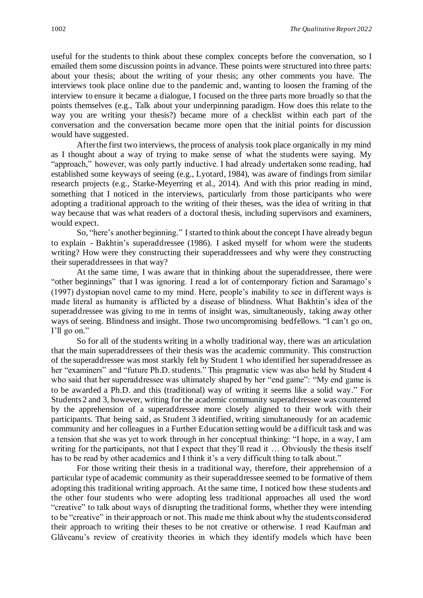useful for the students to think about these complex concepts before the conversation, so I emailed them some discussion points in advance. These points were structured into three parts: about your thesis; about the writing of your thesis; any other comments you have. The interviews took place online due to the pandemic and, wanting to loosen the framing of the interview to ensure it became a dialogue, I focused on the three parts more broadly so that the points themselves (e.g., Talk about your underpinning paradigm. How does this relate to the way you are writing your thesis?) became more of a checklist within each part of the conversation and the conversation became more open that the initial points for discussion would have suggested.

After the first two interviews, the process of analysis took place organically in my mind as I thought about a way of trying to make sense of what the students were saying. My "approach," however, was only partly inductive. I had already undertaken some reading, had established some keyways of seeing (e.g., Lyotard, 1984), was aware of findings from similar research projects (e.g., Starke-Meyerring et al., 2014). And with this prior reading in mind, something that I noticed in the interviews, particularly from those participants who were adopting a traditional approach to the writing of their theses, was the idea of writing in that way because that was what readers of a doctoral thesis, including supervisors and examiners, would expect.

So, "here's another beginning." I started to think about the concept I have already begun to explain - Bakhtin's superaddressee (1986). I asked myself for whom were the students writing? How were they constructing their superaddressees and why were they constructing their superaddressees in that way?

At the same time, I was aware that in thinking about the superaddressee, there were "other beginnings" that I was ignoring. I read a lot of contemporary fiction and Saramago's (1997) dystopian novel came to my mind. Here, people's inability to see in different ways is made literal as humanity is afflicted by a disease of blindness. What Bakhtin's idea of the superaddressee was giving to me in terms of insight was, simultaneously, taking away other ways of seeing. Blindness and insight. Those two uncompromising bedfellows. "I can't go on, I'll go on."

So for all of the students writing in a wholly traditional way, there was an articulation that the main superaddressees of their thesis was the academic community. This construction of the superaddressee was most starkly felt by Student 1 who identified her superaddressee as her "examiners" and "future Ph.D. students." This pragmatic view was also held by Student 4 who said that her superaddressee was ultimately shaped by her "end game": "My end game is to be awarded a Ph.D. and this (traditional) way of writing it seems like a solid way." For Students 2 and 3, however, writing for the academic community superaddressee was countered by the apprehension of a superaddressee more closely aligned to their work with their participants. That being said, as Student 3 identified, writing simultaneously for an academic community and her colleagues in a Further Education setting would be a difficult task and was a tension that she was yet to work through in her conceptual thinking: "I hope, in a way, I am writing for the participants, not that I expect that they'll read it ... Obviously the thesis itself has to be read by other academics and I think it's a very difficult thing to talk about."

For those writing their thesis in a traditional way, therefore, their apprehension of a particular type of academic community as their superaddressee seemed to be formative of them adopting this traditional writing approach. At the same time, I noticed how these students and the other four students who were adopting less traditional approaches all used the word "creative" to talk about ways of disrupting the traditional forms, whether they were intending to be "creative" in their approach or not. This made me think about why the students considered their approach to writing their theses to be not creative or otherwise. I read Kaufman and Glăveanu's review of creativity theories in which they identify models which have been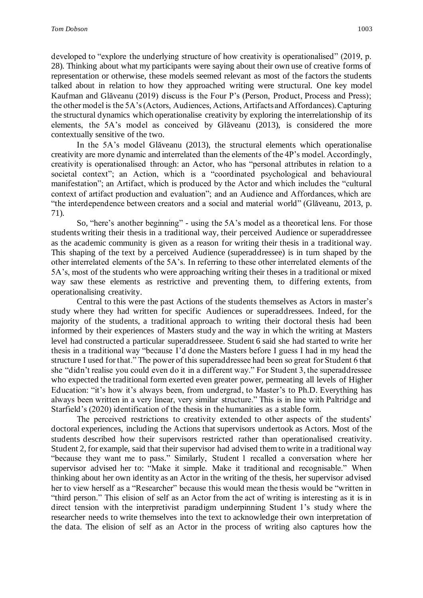developed to "explore the underlying structure of how creativity is operationalised" (2019, p. 28). Thinking about what my participants were saying about their own use of creative forms of representation or otherwise, these models seemed relevant as most of the factors the students talked about in relation to how they approached writing were structural. One key model Kaufman and Glăveanu (2019) discuss is the Four P's (Person, Product, Process and Press); the other model is the 5A's (Actors, Audiences, Actions, Artifacts and Affordances). Capturing the structural dynamics which operationalise creativity by exploring the interrelationship of its elements, the 5A's model as conceived by Glăveanu (2013), is considered the more contextually sensitive of the two.

In the 5A's model Glăveanu (2013), the structural elements which operationalise creativity are more dynamic and interrelated than the elements of the 4P's model. Accordingly, creativity is operationalised through: an Actor, who has "personal attributes in relation to a societal context"; an Action, which is a "coordinated psychological and behavioural manifestation"; an Artifact, which is produced by the Actor and which includes the "cultural context of artifact production and evaluation"; and an Audience and Affordances, which are "the interdependence between creators and a social and material world" (Glăveanu, 2013, p. 71).

So, "here's another beginning" *-* using the 5A's model as a theoretical lens. For those students writing their thesis in a traditional way, their perceived Audience or superaddressee as the academic community is given as a reason for writing their thesis in a traditional way. This shaping of the text by a perceived Audience (superaddressee) is in turn shaped by the other interrelated elements of the 5A's. In referring to these other interrelated elements of the 5A's, most of the students who were approaching writing their theses in a traditional or mixed way saw these elements as restrictive and preventing them, to differing extents, from operationalising creativity.

Central to this were the past Actions of the students themselves as Actors in master's study where they had written for specific Audiences or superaddressees. Indeed, for the majority of the students, a traditional approach to writing their doctoral thesis had been informed by their experiences of Masters study and the way in which the writing at Masters level had constructed a particular superaddresseee. Student 6 said she had started to write her thesis in a traditional way "because I'd done the Masters before I guess I had in my head the structure I used for that." The power of this superaddressee had been so great for Student 6 that she "didn't realise you could even do it in a different way." For Student 3, the superaddressee who expected the traditional form exerted even greater power, permeating all levels of Higher Education: "it's how it's always been, from undergrad, to Master's to Ph.D. Everything has always been written in a very linear, very similar structure." This is in line with Paltridge and Starfield's (2020) identification of the thesis in the humanities as a stable form.

The perceived restrictions to creativity extended to other aspects of the students' doctoral experiences, including the Actions that supervisors undertook as Actors. Most of the students described how their supervisors restricted rather than operationalised creativity. Student 2, for example, said that their supervisor had advised them to write in a traditional way "because they want me to pass." Similarly, Student 1 recalled a conversation where her supervisor advised her to: "Make it simple. Make it traditional and recognisable." When thinking about her own identity as an Actor in the writing of the thesis, her supervisor advised her to view herself as a "Researcher" because this would mean the thesis would be "written in "third person." This elision of self as an Actor from the act of writing is interesting as it is in direct tension with the interpretivist paradigm underpinning Student 1's study where the researcher needs to write themselves into the text to acknowledge their own interpretation of the data. The elision of self as an Actor in the process of writing also captures how the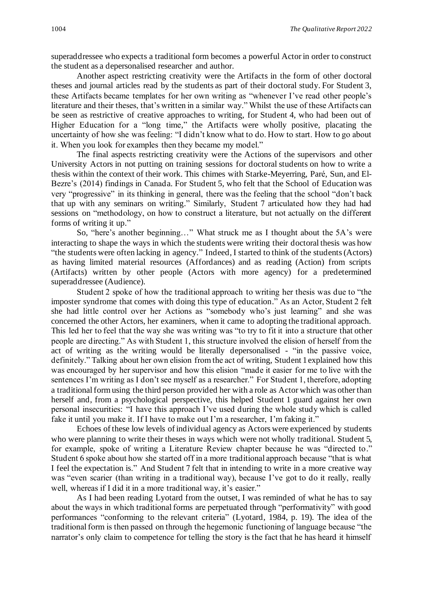superaddressee who expects a traditional form becomes a powerful Actor in order to construct the student as a depersonalised researcher and author.

Another aspect restricting creativity were the Artifacts in the form of other doctoral theses and journal articles read by the students as part of their doctoral study. For Student 3, these Artifacts became templates for her own writing as "whenever I've read other people's literature and their theses, that's written in a similar way." Whilst the use of these Artifacts can be seen as restrictive of creative approaches to writing, for Student 4, who had been out of Higher Education for a "long time," the Artifacts were wholly positive, placating the uncertainty of how she was feeling: "I didn't know what to do. How to start. How to go about it. When you look for examples then they became my model."

The final aspects restricting creativity were the Actions of the supervisors and other University Actors in not putting on training sessions for doctoral students on how to write a thesis within the context of their work. This chimes with Starke-Meyerring, Paré, Sun, and El-Bezre's (2014) findings in Canada. For Student 5, who felt that the School of Education was very "progressive" in its thinking in general, there was the feeling that the school "don't back that up with any seminars on writing." Similarly, Student 7 articulated how they had had sessions on "methodology, on how to construct a literature, but not actually on the different forms of writing it up."

So, "here's another beginning…" What struck me as I thought about the 5A's were interacting to shape the ways in which the students were writing their doctoral thesis was how "the students were often lacking in agency." Indeed, I started to think of the students (Actors) as having limited material resources (Affordances) and as reading (Action) from scripts (Artifacts) written by other people (Actors with more agency) for a predetermined superaddressee (Audience).

Student 2 spoke of how the traditional approach to writing her thesis was due to "the imposter syndrome that comes with doing this type of education." As an Actor, Student 2 felt she had little control over her Actions as "somebody who's just learning" and she was concerned the other Actors, her examiners, when it came to adopting the traditional approach. This led her to feel that the way she was writing was "to try to fit it into a structure that other people are directing." As with Student 1, this structure involved the elision of herself from the act of writing as the writing would be literally depersonalised - "in the passive voice, definitely." Talking about her own elision from the act of writing, Student 1 explained how this was encouraged by her supervisor and how this elision "made it easier for me to live with the sentences I'm writing as I don't see myself as a researcher." For Student 1, therefore, adopting a traditional form using the third person provided her with a role as Actor which was other than herself and, from a psychological perspective, this helped Student 1 guard against her own personal insecurities: "I have this approach I've used during the whole study which is called fake it until you make it. If I have to make out I'm a researcher, I'm faking it."

Echoes of these low levels of individual agency as Actors were experienced by students who were planning to write their theses in ways which were not wholly traditional. Student 5, for example, spoke of writing a Literature Review chapter because he was "directed to." Student 6 spoke about how she started off in a more traditional approach because "that is what I feel the expectation is." And Student 7 felt that in intending to write in a more creative way was "even scarier (than writing in a traditional way), because I've got to do it really, really well, whereas if I did it in a more traditional way, it's easier."

As I had been reading Lyotard from the outset, I was reminded of what he has to say about the ways in which traditional forms are perpetuated through "performativity" with good performances "conforming to the relevant criteria" (Lyotard, 1984, p. 19). The idea of the traditional form is then passed on through the hegemonic functioning of language because "the narrator's only claim to competence for telling the story is the fact that he has heard it himself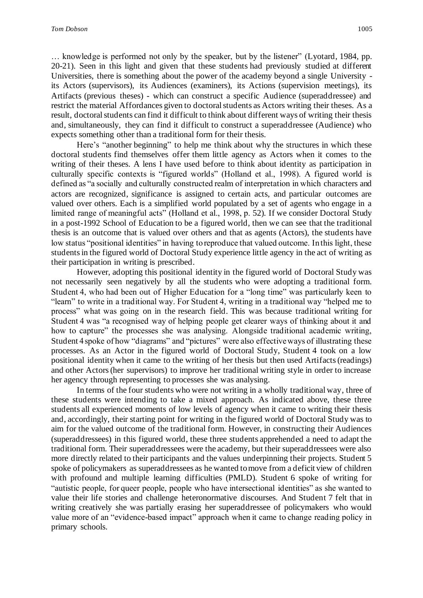… knowledge is performed not only by the speaker, but by the listener" (Lyotard, 1984, pp. 20-21). Seen in this light and given that these students had previously studied at different Universities, there is something about the power of the academy beyond a single University its Actors (supervisors), its Audiences (examiners), its Actions (supervision meetings), its Artifacts (previous theses) - which can construct a specific Audience (superaddressee) and restrict the material Affordances given to doctoral students as Actors writing their theses. As a result, doctoral students can find it difficult to think about different ways of writing their thesis and, simultaneously, they can find it difficult to construct a superaddressee (Audience) who expects something other than a traditional form for their thesis.

Here's "another beginning" to help me think about why the structures in which these doctoral students find themselves offer them little agency as Actors when it comes to the writing of their theses. A lens I have used before to think about identity as participation in culturally specific contexts is "figured worlds" (Holland et al., 1998). A figured world is defined as "a socially and culturally constructed realm of interpretation in which characters and actors are recognized, significance is assigned to certain acts, and particular outcomes are valued over others. Each is a simplified world populated by a set of agents who engage in a limited range of meaningful acts" (Holland et al., 1998, p. 52). If we consider Doctoral Study in a post-1992 School of Education to be a figured world, then we can see that the traditional thesis is an outcome that is valued over others and that as agents (Actors), the students have low status "positional identities" in having to reproduce that valued outcome. In this light, these students in the figured world of Doctoral Study experience little agency in the act of writing as their participation in writing is prescribed.

However, adopting this positional identity in the figured world of Doctoral Study was not necessarily seen negatively by all the students who were adopting a traditional form. Student 4, who had been out of Higher Education for a "long time" was particularly keen to "learn" to write in a traditional way. For Student 4, writing in a traditional way "helped me to process" what was going on in the research field. This was because traditional writing for Student 4 was "a recognised way of helping people get clearer ways of thinking about it and how to capture" the processes she was analysing. Alongside traditional academic writing, Student 4 spoke of how "diagrams" and "pictures" were also effective ways of illustrating these processes. As an Actor in the figured world of Doctoral Study, Student 4 took on a low positional identity when it came to the writing of her thesis but then used Artifacts (readings) and other Actors (her supervisors) to improve her traditional writing style in order to increase her agency through representing to processes she was analysing.

In terms of the four students who were not writing in a wholly traditional way, three of these students were intending to take a mixed approach. As indicated above, these three students all experienced moments of low levels of agency when it came to writing their thesis and, accordingly, their starting point for writing in the figured world of Doctoral Study was to aim for the valued outcome of the traditional form. However, in constructing their Audiences (superaddressees) in this figured world, these three students apprehended a need to adapt the traditional form. Their superaddressees were the academy, but their superaddressees were also more directly related to their participants and the values underpinning their projects. Student 5 spoke of policymakers as superaddressees as he wanted to move from a deficit view of children with profound and multiple learning difficulties (PMLD). Student 6 spoke of writing for "autistic people, for queer people, people who have intersectional identities" as she wanted to value their life stories and challenge heteronormative discourses. And Student 7 felt that in writing creatively she was partially erasing her superaddressee of policymakers who would value more of an "evidence-based impact" approach when it came to change reading policy in primary schools.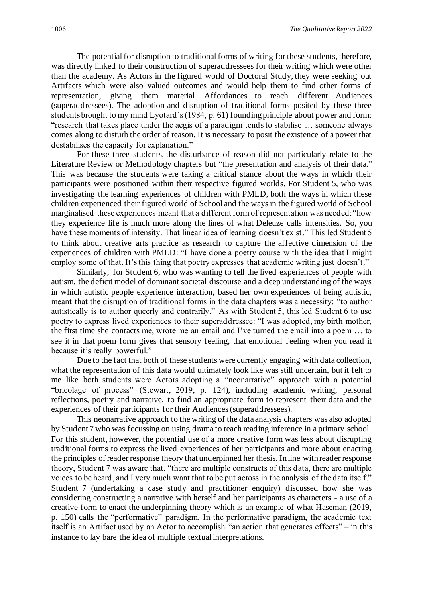The potential for disruption to traditional forms of writing for these students, therefore, was directly linked to their construction of superaddressees for their writing which were other than the academy. As Actors in the figured world of Doctoral Study, they were seeking out Artifacts which were also valued outcomes and would help them to find other forms of representation, giving them material Affordances to reach different Audiences (superaddressees). The adoption and disruption of traditional forms posited by these three students brought to my mind Lyotard's (1984, p. 61) founding principle about power and form: "research that takes place under the aegis of a paradigm tends to stabilise … someone always comes along to disturb the order of reason. It is necessary to posit the existence of a power that destabilises the capacity for explanation."

For these three students, the disturbance of reason did not particularly relate to the Literature Review or Methodology chapters but "the presentation and analysis of their data." This was because the students were taking a critical stance about the ways in which their participants were positioned within their respective figured worlds. For Student 5, who was investigating the learning experiences of children with PMLD, both the ways in which these children experienced their figured world of School and the ways in the figured world of School marginalised these experiences meant that a different form of representation was needed: "how they experience life is much more along the lines of what Deleuze calls intensities. So, you have these moments of intensity. That linear idea of learning doesn't exist." This led Student 5 to think about creative arts practice as research to capture the affective dimension of the experiences of children with PMLD: "I have done a poetry course with the idea that I might employ some of that. It's this thing that poetry expresses that academic writing just doesn't."

Similarly, for Student 6, who was wanting to tell the lived experiences of people with autism, the deficit model of dominant societal discourse and a deep understanding of the ways in which autistic people experience interaction, based her own experiences of being autistic, meant that the disruption of traditional forms in the data chapters was a necessity: "to author autistically is to author queerly and contrarily." As with Student 5, this led Student 6 to use poetry to express lived experiences to their superaddressee: "I was adopted, my birth mother, the first time she contacts me, wrote me an email and I've turned the email into a poem … to see it in that poem form gives that sensory feeling, that emotional feeling when you read it because it's really powerful."

Due to the fact that both of these students were currently engaging with data collection, what the representation of this data would ultimately look like was still uncertain, but it felt to me like both students were Actors adopting a "neonarrative" approach with a potential "bricolage of process" (Stewart, 2019, p. 124), including academic writing, personal reflections, poetry and narrative, to find an appropriate form to represent their data and the experiences of their participants for their Audiences (superaddressees).

This neonarrative approach to the writing of the data analysis chapters was also adopted by Student 7 who was focussing on using drama to teach reading inference in a primary school. For this student, however, the potential use of a more creative form was less about disrupting traditional forms to express the lived experiences of her participants and more about enacting the principles of reader response theory that underpinned her thesis. In line with reader response theory, Student 7 was aware that, "there are multiple constructs of this data, there are multiple voices to be heard, and I very much want that to be put across in the analysis of the data itself." Student 7 (undertaking a case study and practitioner enquiry) discussed how she was considering constructing a narrative with herself and her participants as characters - a use of a creative form to enact the underpinning theory which is an example of what Haseman (2019, p. 150) calls the "performative" paradigm. In the performative paradigm, the academic text itself is an Artifact used by an Actor to accomplish "an action that generates effects" – in this instance to lay bare the idea of multiple textual interpretations.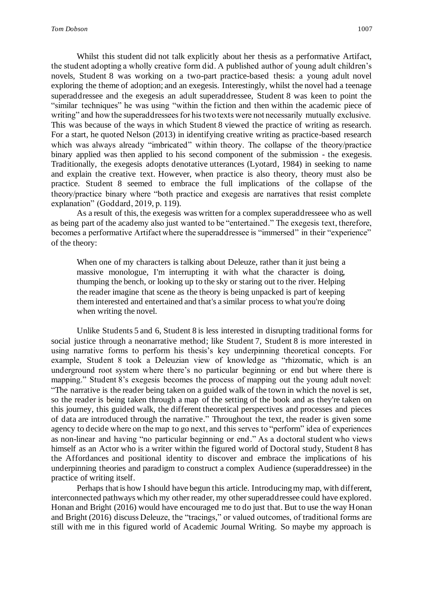Whilst this student did not talk explicitly about her thesis as a performative Artifact, the student adopting a wholly creative form did. A published author of young adult children's novels, Student 8 was working on a two-part practice-based thesis: a young adult novel exploring the theme of adoption; and an exegesis. Interestingly, whilst the novel had a teenage superaddressee and the exegesis an adult superaddressee, Student 8 was keen to point the "similar techniques" he was using "within the fiction and then within the academic piece of writing" and how the superaddressees for his two texts were not necessarily mutually exclusive. This was because of the ways in which Student 8 viewed the practice of writing as research. For a start, he quoted Nelson (2013) in identifying creative writing as practice-based research which was always already "imbricated" within theory. The collapse of the theory/practice binary applied was then applied to his second component of the submission - the exegesis. Traditionally, the exegesis adopts denotative utterances (Lyotard, 1984) in seeking to name and explain the creative text. However, when practice is also theory, theory must also be practice. Student 8 seemed to embrace the full implications of the collapse of the theory/practice binary where "both practice and exegesis are narratives that resist complete explanation" (Goddard, 2019, p. 119).

As a result of this, the exegesis was written for a complex superaddresseee who as well as being part of the academy also just wanted to be "entertained." The exegesis text, therefore, becomes a performative Artifact where the superaddressee is "immersed" in their "experience" of the theory:

When one of my characters is talking about Deleuze, rather than it just being a massive monologue, I'm interrupting it with what the character is doing, thumping the bench, or looking up to the sky or staring out to the river. Helping the reader imagine that scene as the theory is being unpacked is part of keeping them interested and entertained and that's a similar process to what you're doing when writing the novel.

Unlike Students 5 and 6, Student 8 is less interested in disrupting traditional forms for social justice through a neonarrative method; like Student 7, Student 8 is more interested in using narrative forms to perform his thesis's key underpinning theoretical concepts. For example, Student 8 took a Deleuzian view of knowledge as "rhizomatic, which is an underground root system where there's no particular beginning or end but where there is mapping." Student 8's exegesis becomes the process of mapping out the young adult novel: "The narrative is the reader being taken on a guided walk of the town in which the novel is set, so the reader is being taken through a map of the setting of the book and as they're taken on this journey, this guided walk, the different theoretical perspectives and processes and pieces of data are introduced through the narrative." Throughout the text, the reader is given some agency to decide where on the map to go next, and this serves to "perform" idea of experiences as non-linear and having "no particular beginning or end." As a doctoral student who views himself as an Actor who is a writer within the figured world of Doctoral study, Student 8 has the Affordances and positional identity to discover and embrace the implications of his underpinning theories and paradigm to construct a complex Audience (superaddressee) in the practice of writing itself.

Perhaps that is how I should have begun this article. Introducing my map, with different, interconnected pathways which my other reader, my other superaddressee could have explored. Honan and Bright (2016) would have encouraged me to do just that. But to use the way Honan and Bright (2016) discuss Deleuze, the "tracings," or valued outcomes, of traditional forms are still with me in this figured world of Academic Journal Writing. So maybe my approach is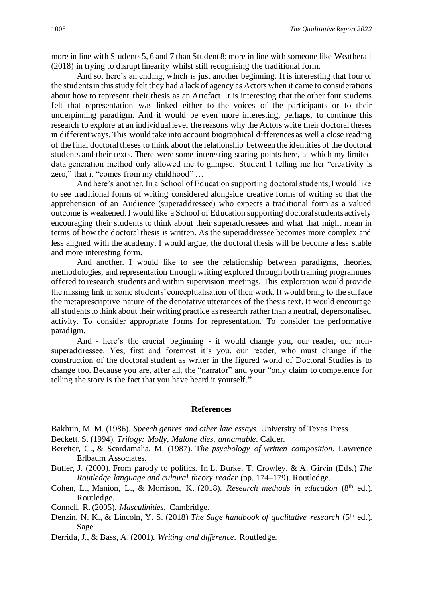more in line with Students 5, 6 and 7 than Student 8; more in line with someone like Weatherall (2018) in trying to disrupt linearity whilst still recognising the traditional form.

And so, here's an ending, which is just another beginning. It is interesting that four of the students in this study felt they had a lack of agency as Actors when it came to considerations about how to represent their thesis as an Artefact. It is interesting that the other four students felt that representation was linked either to the voices of the participants or to their underpinning paradigm. And it would be even more interesting, perhaps, to continue this research to explore at an individual level the reasons why the Actors write their doctoral theses in different ways. This would take into account biographical differences as well a close reading of the final doctoral theses to think about the relationship between the identities of the doctoral students and their texts. There were some interesting staring points here, at which my limited data generation method only allowed me to glimpse. Student 1 telling me her "creativity is zero," that it "comes from my childhood" …

And here's another. In a School of Education supporting doctoral students, I would like to see traditional forms of writing considered alongside creative forms of writing so that the apprehension of an Audience (superaddressee) who expects a traditional form as a valued outcome is weakened. I would like a School of Education supporting doctoral students actively encouraging their students to think about their superaddressees and what that might mean in terms of how the doctoral thesis is written. As the superaddressee becomes more complex and less aligned with the academy, I would argue, the doctoral thesis will be become a less stable and more interesting form.

And another. I would like to see the relationship between paradigms, theories, methodologies, and representation through writing explored through both training programmes offered to research students and within supervision meetings. This exploration would provide the missing link in some students' conceptualisation of their work. It would bring to the surface the metaprescriptive nature of the denotative utterances of the thesis text. It would encourage all students to think about their writing practice as research rather than a neutral, depersonalised activity. To consider appropriate forms for representation. To consider the performative paradigm.

And - here's the crucial beginning - it would change you, our reader, our nonsuperaddressee. Yes, first and foremost it's you, our reader, who must change if the construction of the doctoral student as writer in the figured world of Doctoral Studies is to change too. Because you are, after all, the "narrator" and your "only claim to competence for telling the story is the fact that you have heard it yourself."

#### **References**

Bakhtin, M. M. (1986). *Speech genres and other late essays*. University of Texas Press.

Beckett, S. (1994). *Trilogy: Molly, Malone dies, unnamable*. Calder.

- Bereiter, C., & Scardamalia, M. (1987). T*he psychology of written composition*. Lawrence Erlbaum Associates.
- Butler, J. (2000). From parody to politics. In L. Burke, T. Crowley, & A. Girvin (Eds.) *The Routledge language and cultural theory reader* (pp. 174–179). Routledge.
- Cohen, L., Manion, L., & Morrison, K. (2018). *Research methods in education* (8<sup>th</sup> ed.). Routledge.

Connell, R. (2005). *Masculinities*. Cambridge.

- Denzin, N. K., & Lincoln, Y. S. (2018) *The Sage handbook of qualitative research* (5<sup>th</sup> ed.). Sage.
- Derrida, J., & Bass, A. (2001). *Writing and difference*. Routledge.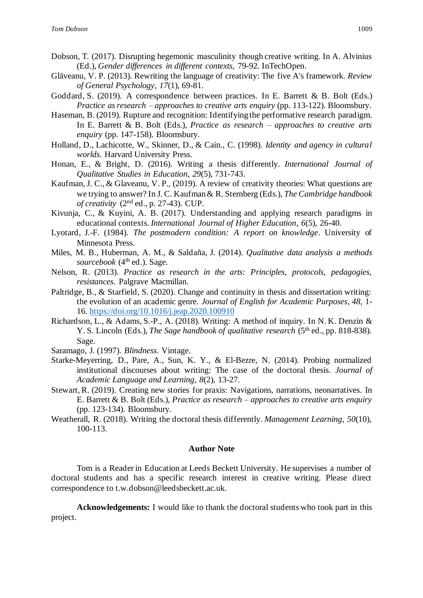- Dobson, T. (2017). Disrupting hegemonic masculinity though creative writing. In A. Alvinius (Ed.), *Gender differences in different contexts*, 79-92. InTechOpen.
- Glăveanu, V. P. (2013). Rewriting the language of creativity: The five A's framework. *Review of General Psychology*, *17*(1), 69-81.
- Goddard, S. (2019). A correspondence between practices. In E. Barrett & B. Bolt (Eds.) *Practice as research – approaches to creative arts enquiry* (pp. 113-122). Bloomsbury.
- Haseman, B. (2019). Rupture and recognition: Identifying the performative research paradigm. In E. Barrett & B. Bolt (Eds.), *Practice as research – approaches to creative arts enquiry* (pp. 147-158). Bloomsbury.
- Holland, D., Lachicotte, W., Skinner, D., & Cain., C. (1998). *Identity and agency in cultural worlds*. Harvard University Press.
- Honan, E., & Bright, D. (2016). Writing a thesis differently. *International Journal of Qualitative Studies in Education*, *29*(5), 731-743.
- Kaufman, J. C., & Glaveanu, V. P., (2019). A review of creativity theories: What questions are we trying to answer? In J. C. Kaufman & R. Sternberg (Eds.), *The Cambridge handbook of creativity* (2<sup>nd</sup> ed., p. 27-43). CUP.
- Kivunja, C., & Kuyini, A. B. (2017). Understanding and applying research paradigms in educational contexts. *International Journal of Higher Education*, *6*(5), 26-40.
- Lyotard, J.-F. (1984). *The postmodern condition: A report on knowledge*. University of Minnesota Press.
- Miles, M. B., Huberman, A. M., & Saldaña, J. (2014). *Qualitative data analysis a methods*  sourcebook (4<sup>th</sup> ed.). Sage.
- Nelson, R. (2013). *Practice as research in the arts: Principles, protocols, pedagogies, resistances*. Palgrave Macmillan.
- Paltridge, B., & Starfield, S. (2020). Change and continuity in thesis and dissertation writing: the evolution of an academic genre. *Journal of English for Academic Purposes*, *48*, 1- 16. <https://doi.org/10.1016/j.jeap.2020.100910>
- Richardson, L., & Adams, S.-P., A. (2018). Writing: A method of inquiry. In N. K. Denzin & Y. S. Lincoln (Eds.), *The Sage handbook of qualitative research* (5<sup>th</sup> ed., pp. 818-838). Sage.
- Saramago, J. (1997). *Blindness*. Vintage.
- Starke-Meyerring, D., Pare, A., Sun, K. Y., & El-Bezre, N. (2014). Probing normalized institutional discourses about writing: The case of the doctoral thesis. *Journal of Academic Language and Learning*, *8*(2), 13-27.
- Stewart, R. (2019). Creating new stories for praxis: Navigations, narrations, neonarratives. In E. Barrett & B. Bolt (Eds.), *Practice as research – approaches to creative arts enquiry* (pp. 123-134). Bloomsbury.
- Weatherall, R. (2018). Writing the doctoral thesis differently. *Management Learning*, *50*(10), 100-113.

#### **Author Note**

Tom is a Reader in Education at Leeds Beckett University. He supervises a number of doctoral students and has a specific research interest in creative writing. Please direct correspondence to t.w.dobson@leedsbeckett.ac.uk.

**Acknowledgements:** I would like to thank the doctoral students who took part in this project.